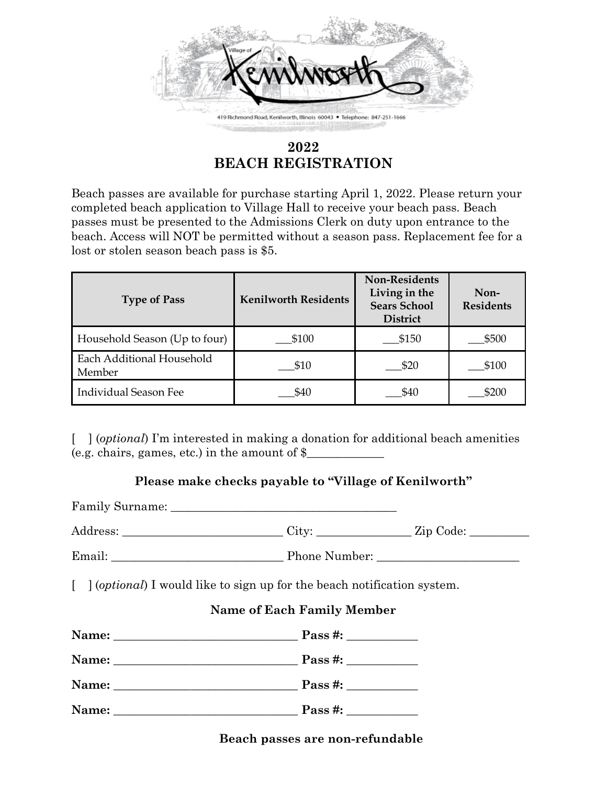

# **2022 BEACH REGISTRATION**

Beach passes are available for purchase starting April 1, 2022. Please return your completed beach application to Village Hall to receive your beach pass. Beach passes must be presented to the Admissions Clerk on duty upon entrance to the beach. Access will NOT be permitted without a season pass. Replacement fee for a lost or stolen season beach pass is \$5.

| <b>Type of Pass</b>                 | <b>Kenilworth Residents</b> | <b>Non-Residents</b><br>Living in the<br><b>Sears School</b><br><b>District</b> | Non-<br><b>Residents</b> |
|-------------------------------------|-----------------------------|---------------------------------------------------------------------------------|--------------------------|
| Household Season (Up to four)       | \$100                       | \$150                                                                           | \$500                    |
| Each Additional Household<br>Member | \$10                        | \$20                                                                            | \$100                    |
| <b>Individual Season Fee</b>        | \$40                        | \$40                                                                            | \$200                    |

[ ] (*optional*) I'm interested in making a donation for additional beach amenities (e.g. chairs, games, etc.) in the amount of  $\$ 

# **Please make checks payable to "Village of Kenilworth"**

| Address: ___________________________City: _______________Zip Code: ______________         |  |  |  |  |  |
|-------------------------------------------------------------------------------------------|--|--|--|--|--|
|                                                                                           |  |  |  |  |  |
| $\lceil$ ] ( <i>optional</i> ) I would like to sign up for the beach notification system. |  |  |  |  |  |
| <b>Name of Each Family Member</b>                                                         |  |  |  |  |  |
|                                                                                           |  |  |  |  |  |
|                                                                                           |  |  |  |  |  |
|                                                                                           |  |  |  |  |  |
|                                                                                           |  |  |  |  |  |
|                                                                                           |  |  |  |  |  |

## **Beach passes are non-refundable**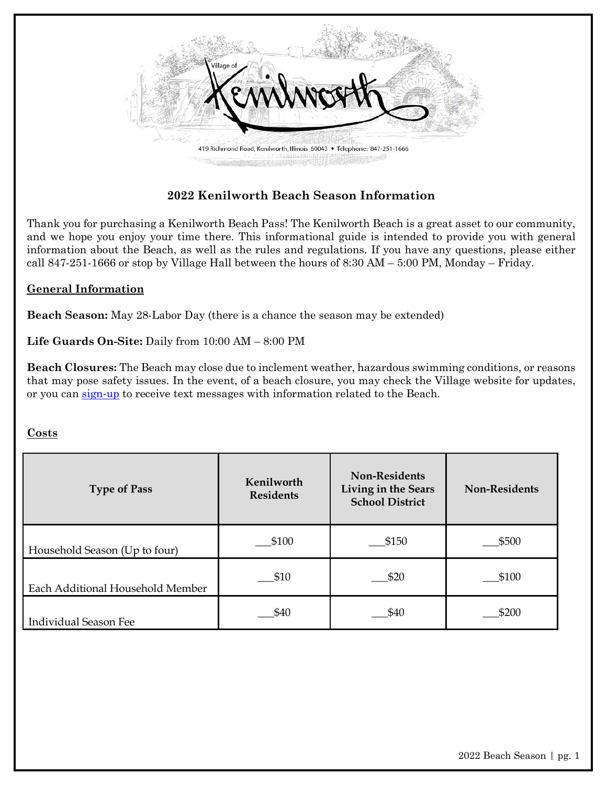

Thank you for purchasing a Kenilworth Beach Pass! The Kenilworth Beach is a great asset to our community, and we hope you enjoy your time there. This informational guide is intended to provide you with general information about the Beach, as well as the rules and regulations. If you have any questions, please either call 847-251-1666 or stop by Village Hall between the hours of 8:30 AM – 5:00 PM, Monday – Friday.

#### **General Information**

**Beach Season:** May 28-Labor Day (there is a chance the season may be extended)

**Life Guards On-Site:** Daily from 10:00 AM – 8:00 PM

**Beach Closures:** The Beach may close due to inclement weather, hazardous swimming conditions, or reasons that may pose safety issues. In the event, of a beach closure, you may check the Village website for updates, or you can [sign-up](https://www.vok.org/List.aspx) to receive text messages with information related to the Beach.

#### **Costs**

| <b>Type of Pass</b>              | Kenilworth<br><b>Residents</b> | <b>Non-Residents</b><br>Living in the Sears<br><b>School District</b> | <b>Non-Residents</b> |
|----------------------------------|--------------------------------|-----------------------------------------------------------------------|----------------------|
| Household Season (Up to four)    | \$100                          | \$150                                                                 | \$500                |
| Each Additional Household Member | \$10                           | \$20                                                                  | \$100                |
| <b>Individual Season Fee</b>     | \$40                           | \$40                                                                  | \$200                |